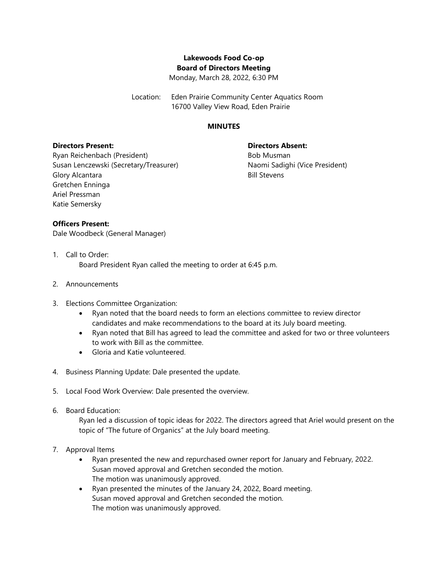# **Lakewoods Food Co-op Board of Directors Meeting**

Monday, March 28, 2022, 6:30 PM

Location: Eden Prairie Community Center Aquatics Room 16700 Valley View Road, Eden Prairie

#### **MINUTES**

## **Directors Present:**

## **Directors Absent:**

Ryan Reichenbach (President) Susan Lenczewski (Secretary/Treasurer) Glory Alcantara Gretchen Enninga Ariel Pressman Katie Semersky

Bob Musman Naomi Sadighi (Vice President) Bill Stevens

## **Officers Present:**

Dale Woodbeck (General Manager)

- 1. Call to Order: Board President Ryan called the meeting to order at 6:45 p.m.
- 2. Announcements
- 3. Elections Committee Organization:
	- Ryan noted that the board needs to form an elections committee to review director candidates and make recommendations to the board at its July board meeting.
	- Ryan noted that Bill has agreed to lead the committee and asked for two or three volunteers to work with Bill as the committee.
	- Gloria and Katie volunteered.
- 4. Business Planning Update: Dale presented the update.
- 5. Local Food Work Overview: Dale presented the overview.
- 6. Board Education:

Ryan led a discussion of topic ideas for 2022. The directors agreed that Ariel would present on the topic of "The future of Organics" at the July board meeting.

- 7. Approval Items
	- Ryan presented the new and repurchased owner report for January and February, 2022. Susan moved approval and Gretchen seconded the motion. The motion was unanimously approved.
	- Ryan presented the minutes of the January 24, 2022, Board meeting. Susan moved approval and Gretchen seconded the motion. The motion was unanimously approved.